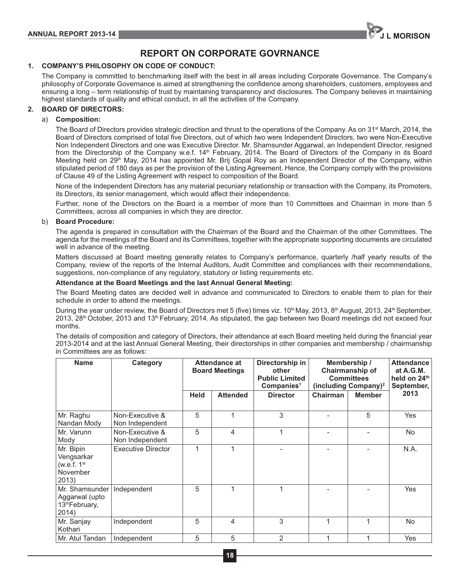

# **REPORT ON CORPORATE GOVRNANCE**

## **1. COMPANY'S PHILOSOPHY ON CODE OF CONDUCT:**

The Company is committed to benchmarking itself with the best in all areas including Corporate Governance. The Company's philosophy of Corporate Governance is aimed at strengthening the confidence among shareholders, customers, employees and ensuring a long – term relationship of trust by maintaining transparency and disclosures. The Company believes in maintaining highest standards of quality and ethical conduct, in all the activities of the Company.

## **2. BOARD OF DIRECTORS:**

## a) **Composition:**

The Board of Directors provides strategic direction and thrust to the operations of the Company. As on  $31<sup>st</sup>$  March, 2014, the Board of Directors comprised of total five Directors, out of which two were Independent Directors, two were Non-Executive Non Independent Directors and one was Executive Director. Mr. Shamsunder Aggarwal, an Independent Director, resigned from the Directorship of the Company w.e.f. 14<sup>th</sup> February, 2014. The Board of Directors of the Company in its Board Meeting held on 29<sup>th</sup> May, 2014 has appointed Mr. Brij Gopal Roy as an Independent Director of the Company, within stipulated period of 180 days as per the provision of the Listing Agreement. Hence, the Company comply with the provisions of Clause 49 of the Listing Agreement with respect to composition of the Board.

None of the Independent Directors has any material pecuniary relationship or transaction with the Company, its Promoters, its Directors, its senior management, which would affect their independence.

Further, none of the Directors on the Board is a member of more than 10 Committees and Chairman in more than 5 Committees, across all companies in which they are director.

### b) **Board Procedure:**

The agenda is prepared in consultation with the Chairman of the Board and the Chairman of the other Committees. The agenda for the meetings of the Board and its Committees, together with the appropriate supporting documents are circulated well in advance of the meeting.

Matters discussed at Board meeting generally relates to Company's performance, quarterly /half yearly results of the Company, review of the reports of the Internal Auditors, Audit Committee and compliances with their recommendations, suggestions, non-compliance of any regulatory, statutory or listing requirements etc.

### **Attendance at the Board Meetings and the last Annual General Meeting:**

The Board Meeting dates are decided well in advance and communicated to Directors to enable them to plan for their schedule in order to attend the meetings.

During the year under review, the Board of Directors met 5 (five) times viz. 10<sup>th</sup> May, 2013, 8<sup>th</sup> August, 2013, 24<sup>th</sup> September, 2013, 28<sup>th</sup> October, 2013 and 13<sup>th</sup> February, 2014. As stipulated, the gap between two Board meetings did not exceed four months.

The details of composition and category of Directors, their attendance at each Board meeting held during the financial year 2013-2014 and at the last Annual General Meeting, their directorships in other companies and membership / chairmanship in Committees are as follows:

| <b>Name</b>                                                   | Category                           | Attendance at<br><b>Board Meetings</b> |                 | Directorship in<br>other<br><b>Public Limited</b><br>Companies <sup>1</sup> | Membership /<br>Chairmanship of<br><b>Committees</b><br>(including Company) <sup>2</sup> |               | <b>Attendance</b><br>at A.G.M.<br>held on 24th<br>September, |
|---------------------------------------------------------------|------------------------------------|----------------------------------------|-----------------|-----------------------------------------------------------------------------|------------------------------------------------------------------------------------------|---------------|--------------------------------------------------------------|
|                                                               |                                    | <b>Held</b>                            | <b>Attended</b> | <b>Director</b>                                                             | Chairman                                                                                 | <b>Member</b> | 2013                                                         |
| Mr. Raghu<br>Nandan Mody                                      | Non-Executive &<br>Non Independent | 5                                      |                 | 3                                                                           |                                                                                          | 5             | Yes                                                          |
| Mr. Varunn<br>Mody                                            | Non-Executive &<br>Non Independent | 5                                      | 4               | 1                                                                           |                                                                                          |               | <b>No</b>                                                    |
| Mr. Bipin<br>Vengsarkar<br>(w.e.f. $1st$<br>November<br>2013) | <b>Executive Director</b>          | $\mathbf{1}$                           |                 |                                                                             |                                                                                          |               | N.A.                                                         |
| Mr. Shamsunder<br>Aggarwal (upto<br>13th February,<br>2014)   | Independent                        | 5                                      |                 | 1                                                                           |                                                                                          |               | Yes                                                          |
| Mr. Sanjay<br>Kothari                                         | Independent                        | 5                                      | 4               | 3                                                                           | 1                                                                                        | 1             | <b>No</b>                                                    |
| Mr. Atul Tandan                                               | Independent                        | 5                                      | 5               | 2                                                                           | 1                                                                                        | 1             | Yes                                                          |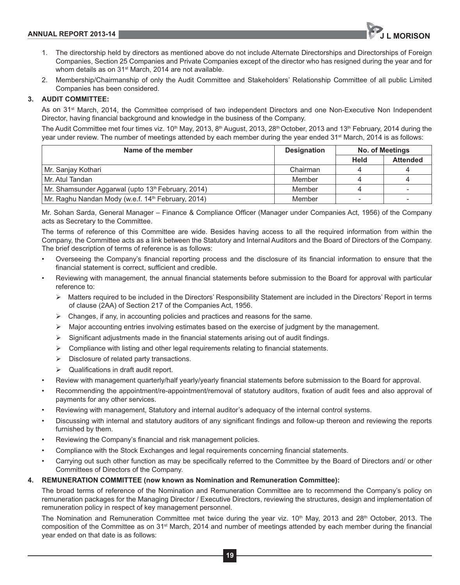

- 1. The directorship held by directors as mentioned above do not include Alternate Directorships and Directorships of Foreign Companies, Section 25 Companies and Private Companies except of the director who has resigned during the year and for whom details as on 31<sup>st</sup> March, 2014 are not available.
- 2. Membership/Chairmanship of only the Audit Committee and Stakeholders' Relationship Committee of all public Limited Companies has been considered.

# **3. AUDIT COMMITTEE:**

As on 31<sup>st</sup> March, 2014, the Committee comprised of two independent Directors and one Non-Executive Non Independent Director, having financial background and knowledge in the business of the Company.

The Audit Committee met four times viz.  $10^{th}$  May, 2013, 8<sup>th</sup> August, 2013, 28<sup>th</sup> October, 2013 and 13<sup>th</sup> February, 2014 during the year under review. The number of meetings attended by each member during the year ended 31<sup>st</sup> March, 2014 is as follows:

| Name of the member                                             | <b>Designation</b> | No. of Meetings |                 |
|----------------------------------------------------------------|--------------------|-----------------|-----------------|
|                                                                |                    | <b>Held</b>     | <b>Attended</b> |
| Mr. Sanjay Kothari                                             | Chairman           |                 |                 |
| Mr. Atul Tandan                                                | Member             |                 |                 |
| Mr. Shamsunder Aggarwal (upto 13 <sup>th</sup> February, 2014) | Member             |                 |                 |
| Mr. Raghu Nandan Mody (w.e.f. 14 <sup>th</sup> February, 2014) | Member             |                 |                 |

Mr. Sohan Sarda, General Manager – Finance & Compliance Officer (Manager under Companies Act, 1956) of the Company acts as Secretary to the Committee.

The terms of reference of this Committee are wide. Besides having access to all the required information from within the Company, the Committee acts as a link between the Statutory and Internal Auditors and the Board of Directors of the Company. The brief description of terms of reference is as follows:

- Overseeing the Company's financial reporting process and the disclosure of its financial information to ensure that the financial statement is correct, sufficient and credible.
- Reviewing with management, the annual financial statements before submission to the Board for approval with particular reference to:
	- $\rightarrow$ Matters required to be included in the Directors' Responsibility Statement are included in the Directors' Report in terms of clause (2AA) of Section 217 of the Companies Act, 1956.
	- > Changes, if any, in accounting policies and practices and reasons for the same.
	- $\triangleright$  Major accounting entries involving estimates based on the exercise of judgment by the management.
	- $\triangleright$ Significant adjustments made in the financial statements arising out of audit findings.
	- $\triangleright$  Compliance with listing and other legal requirements relating to financial statements.
	- > Disclosure of related party transactions.
	- $\rightarrow$ Qualifications in draft audit report.
- Review with management quarterly/half yearly/yearly financial statements before submission to the Board for approval.
- Recommending the appointment/re-appointment/removal of statutory auditors, fixation of audit fees and also approval of payments for any other services.
- Reviewing with management, Statutory and internal auditor's adequacy of the internal control systems.
- Discussing with internal and statutory auditors of any significant findings and follow-up thereon and reviewing the reports furnished by them.
- Reviewing the Company's financial and risk management policies.
- Compliance with the Stock Exchanges and legal requirements concerning financial statements.
- Carrying out such other function as may be specifically referred to the Committee by the Board of Directors and/ or other Committees of Directors of the Company.

## **4. REMUNERATION COMMITTEE (now known as Nomination and Remuneration Committee):**

The broad terms of reference of the Nomination and Remuneration Committee are to recommend the Company's policy on remuneration packages for the Managing Director / Executive Directors, reviewing the structures, design and implementation of remuneration policy in respect of key management personnel.

The Nomination and Remuneration Committee met twice during the year viz. 10<sup>th</sup> May, 2013 and 28<sup>th</sup> October, 2013. The composition of the Committee as on 31<sup>st</sup> March, 2014 and number of meetings attended by each member during the financial year ended on that date is as follows: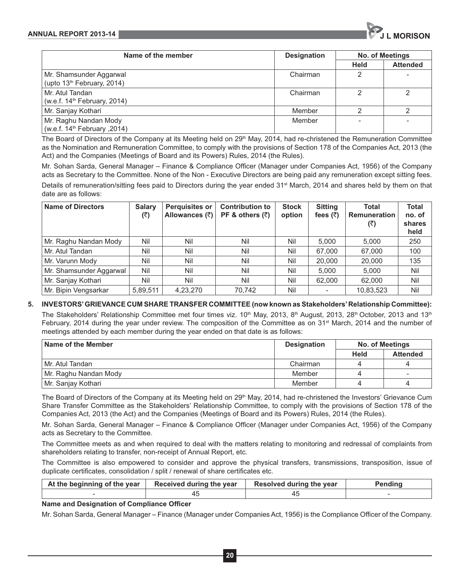

| Name of the member                                                | <b>Designation</b> | <b>No. of Meetings</b> |                 |
|-------------------------------------------------------------------|--------------------|------------------------|-----------------|
|                                                                   |                    | Held                   | <b>Attended</b> |
| Mr. Shamsunder Aggarwal<br>(upto 13 <sup>th</sup> February, 2014) | Chairman           | 2                      |                 |
| Mr. Atul Tandan<br>(w.e.f. 14 <sup>th</sup> February, 2014)       | Chairman           | っ                      | 2               |
| Mr. Sanjay Kothari                                                | Member             | っ                      | $\mathcal{D}$   |
| Mr. Raghu Nandan Mody<br>(2014, w.e.f. 14 <sup>th</sup> February) | Member             |                        |                 |

The Board of Directors of the Company at its Meeting held on 29<sup>th</sup> May, 2014, had re-christened the Remuneration Committee as the Nomination and Remuneration Committee, to comply with the provisions of Section 178 of the Companies Act, 2013 (the Act) and the Companies (Meetings of Board and its Powers) Rules, 2014 (the Rules).

Mr. Sohan Sarda, General Manager – Finance & Compliance Officer (Manager under Companies Act, 1956) of the Company acts as Secretary to the Committee. None of the Non - Executive Directors are being paid any remuneration except sitting fees.

Details of remuneration/sitting fees paid to Directors during the year ended 31st March, 2014 and shares held by them on that date are as follows:

| <b>Name of Directors</b> | <b>Salary</b><br>(₹) | <b>Perquisites or</b><br>Allowances (₹) | <b>Contribution to</b><br>PF & others $(7)$ | <b>Stock</b><br>option | <b>Sitting</b><br>fees $(\bar{z})$ | <b>Total</b><br><b>Remuneration</b><br>(₹) | Total<br>no. of<br>shares<br>held |
|--------------------------|----------------------|-----------------------------------------|---------------------------------------------|------------------------|------------------------------------|--------------------------------------------|-----------------------------------|
| Mr. Raghu Nandan Mody    | Nil                  | Nil                                     | Nil                                         | Nil                    | 5.000                              | 5.000                                      | 250                               |
| Mr. Atul Tandan          | Nil                  | Nil                                     | Nil                                         | Nil                    | 67.000                             | 67,000                                     | 100                               |
| Mr. Varunn Mody          | Nil                  | Nil                                     | Nil                                         | Nil                    | 20,000                             | 20,000                                     | 135                               |
| Mr. Shamsunder Aggarwal  | Nil                  | Nil                                     | Nil                                         | Nil                    | 5.000                              | 5.000                                      | Nil                               |
| Mr. Sanjay Kothari       | Nil                  | Nil                                     | Nil                                         | Nil                    | 62,000                             | 62,000                                     | Nil                               |
| Mr. Bipin Vengsarkar     | 5,89,511             | 4,23,270                                | 70.742                                      | Nil                    |                                    | 10,83,523                                  | Nil                               |

# **5. INVESTORS' GRIEVANCE CUM SHARE TRANSFER COMMITTEE (now known as Stakeholders' Relationship Committee):**

The Stakeholders' Relationship Committee met four times viz.  $10^{th}$  May, 2013, 8<sup>th</sup> August, 2013, 28<sup>th</sup> October, 2013 and 13<sup>th</sup> February, 2014 during the year under review. The composition of the Committee as on 31<sup>st</sup> March, 2014 and the number of meetings attended by each member during the year ended on that date is as follows:

| <b>Name of the Member</b> | <b>Designation</b> | No. of Meetings |                 |
|---------------------------|--------------------|-----------------|-----------------|
|                           |                    | Held            | <b>Attended</b> |
| Mr. Atul Tandan           | Chairman           |                 | Δ               |
| Mr. Raghu Nandan Mody     | Member             |                 |                 |
| Mr. Sanjay Kothari        | Member             |                 |                 |

The Board of Directors of the Company at its Meeting held on 29<sup>th</sup> May, 2014, had re-christened the Investors' Grievance Cum Share Transfer Committee as the Stakeholders' Relationship Committee, to comply with the provisions of Section 178 of the Companies Act, 2013 (the Act) and the Companies (Meetings of Board and its Powers) Rules, 2014 (the Rules).

Mr. Sohan Sarda, General Manager – Finance & Compliance Officer (Manager under Companies Act, 1956) of the Company acts as Secretary to the Committee.

The Committee meets as and when required to deal with the matters relating to monitoring and redressal of complaints from shareholders relating to transfer, non-receipt of Annual Report, etc.

The Committee is also empowered to consider and approve the physical transfers, transmissions, transposition, issue of duplicate certificates, consolidation / split / renewal of share certificates etc.

| At the beginning of the year | Received during the year | Resolved during the year | Pendina |
|------------------------------|--------------------------|--------------------------|---------|
|                              |                          |                          |         |

## **Name and Designation of Compliance Officer**

Mr. Sohan Sarda, General Manager – Finance (Manager under Companies Act, 1956) is the Compliance Officer of the Company.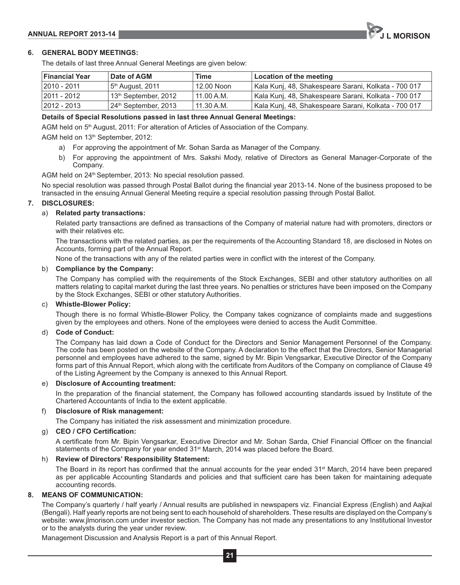## **; GENERAL BODY MEETINGS:**

The details of last three Annual General Meetings are given below:

| <b>Financial Year</b> | <b>Date of AGM</b>                 | Time       | Location of the meeting                              |
|-----------------------|------------------------------------|------------|------------------------------------------------------|
| 2010 - 2011           | 5th August, 2011                   | 12.00 Noon | Kala Kunj, 48, Shakespeare Sarani, Kolkata - 700 017 |
| 2011 - 2012           | l 13 <sup>th</sup> September, 2012 | 11.00 A.M. | Kala Kunj, 48, Shakespeare Sarani, Kolkata - 700 017 |
| $ 2012 - 2013 $       | 24th September, 2013               | 11.30 A.M. | Kala Kunj, 48, Shakespeare Sarani, Kolkata - 700 017 |

#### **Details of Special Resolutions passed in last three Annual General Meetings:**

AGM held on 5<sup>th</sup> August, 2011: For alteration of Articles of Association of the Company.

AGM held on 13<sup>th</sup> September, 2012:

- a) For approving the appointment of Mr. Sohan Sarda as Manager of the Company.
- b) For approving the appointment of Mrs. Sakshi Mody, relative of Directors as General Manager-Corporate of the Company.

AGM held on 24<sup>th</sup> September, 2013: No special resolution passed.

No special resolution was passed through Postal Ballot during the financial year 2013-14. None of the business proposed to be transacted in the ensuing Annual General Meeting require a special resolution passing through Postal Ballot.

#### **; DISCLOSURES:**

#### a) **Related party transactions:**

Related party transactions are defined as transactions of the Company of material nature had with promoters, directors or with their relatives etc.

The transactions with the related parties, as per the requirements of the Accounting Standard 18, are disclosed in Notes on Accounts, forming part of the Annual Report.

None of the transactions with any of the related parties were in conflict with the interest of the Company.

#### b) **Compliance by the Company:**

The Company has complied with the requirements of the Stock Exchanges, SEBI and other statutory authorities on all matters relating to capital market during the last three years. No penalties or strictures have been imposed on the Company by the Stock Exchanges, SEBI or other statutory Authorities.

## c) **Whistle-Blower Policy:**

Though there is no formal Whistle-Blower Policy, the Company takes cognizance of complaints made and suggestions given by the employees and others. None of the employees were denied to access the Audit Committee.

#### d) **Code of Conduct:**

The Company has laid down a Code of Conduct for the Directors and Senior Management Personnel of the Company. The code has been posted on the website of the Company. A declaration to the effect that the Directors, Senior Managerial personnel and employees have adhered to the same, signed by Mr. Bipin Vengsarkar, Executive Director of the Company forms part of this Annual Report, which along with the certificate from Auditors of the Company on compliance of Clause 49 of the Listing Agreement by the Company is annexed to this Annual Report.

#### e) **Disclosure of Accounting treatment:**

In the preparation of the financial statement, the Company has followed accounting standards issued by Institute of the Chartered Accountants of India to the extent applicable.

#### f) **Disclosure of Risk management:**

The Company has initiated the risk assessment and minimization procedure.

#### g) CEO / CFO Certification:

A certificate from Mr. Bipin Vengsarkar, Executive Director and Mr. Sohan Sarda, Chief Financial Officer on the financial statements of the Company for year ended 31<sup>st</sup> March, 2014 was placed before the Board.

#### h) **Review of Directors' Responsibility Statement:**

The Board in its report has confirmed that the annual accounts for the year ended 31<sup>st</sup> March, 2014 have been prepared as per applicable Accounting Standards and policies and that sufficient care has been taken for maintaining adequate accounting records.

#### **8. MEANS OF COMMUNICATION:**

The Company's quarterly / half yearly / Annual results are published in newspapers viz. Financial Express (English) and Aajkal (Bengali). Half yearly reports are not being sent to each household of shareholders. These results are displayed on the Company's website: www.jlmorison.com under investor section. The Company has not made any presentations to any Institutional Investor or to the analysts during the year under review.

Management Discussion and Analysis Report is a part of this Annual Report.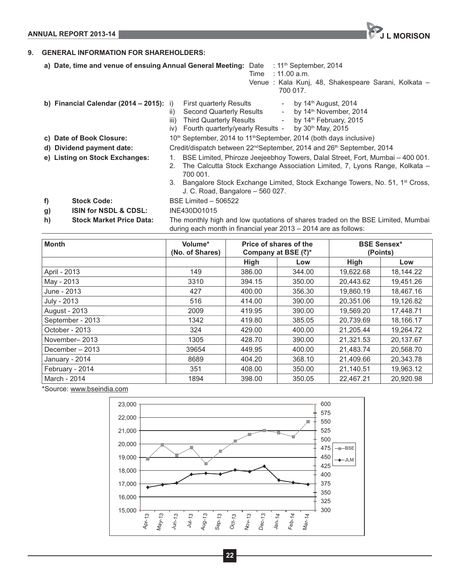**ANNUAL REPORT 2013-14 JULIA CONSUMING THE CONSUMING OF A LIGHT CONSUMING THE CONSUMING OF A LIGHT CONSUMING OF A** 

# **9. GENERAL INFORMATION FOR SHAREHOLDERS:**

- a) Date, time and venue of ensuing Annual General Meeting: Date : 11<sup>th</sup> September, 2014
	- Time : 11.00 a.m.
		- Venue : Kala Kunj, 48, Shakespeare Sarani, Kolkata 700 017.
- **b) Financial Calendar (2014 2015):** i) First quarterly Results by 14<sup>th</sup> August, 2014 ii) Second Quarterly Results  $\qquad \qquad -$  by 14<sup>th</sup> November, 2014 iii) Third Quarterly Results - by  $14<sup>th</sup>$  February, 2015 iv) Fourth quarterly/yearly Results - by  $30<sup>th</sup>$  May, 2015 **c) Date of Book Closure:** 10<sup>th</sup> September, 2014 to 11<sup>th</sup> September, 2014 (both days inclusive) **d) Dividend payment date:** Credit/dispatch between 22<sup>nd</sup>September, 2014 and 26<sup>th</sup> September, 2014 **e) Listing on Stock Exchanges:** 1. BSE Limited, Phiroze Jeejeebhoy Towers, Dalal Street, Fort, Mumbai – 400 001. 2. The Calcutta Stock Exchange Association Limited, 7, Lyons Range, Kolkata – 700 001. 3. Bangalore Stock Exchange Limited, Stock Exchange Towers, No. 51, 1st Cross, J. C. Road, Bangalore – 560 027. **f) Stock Code:** BSE Limited – 506522 **g) ISIN for NSDL & CDSL:** INE430D01015 **h) Stock Market Price Data:** The monthly high and low quotations of shares traded on the BSE Limited, Mumbai during each month in financial year 2013 – 2014 are as follows:

| <b>Month</b>     | Volume*<br>(No. of Shares) |             | Price of shares of the<br>Company at BSE $(\bar{x})^*$ |           | <b>BSE Sensex*</b><br>(Points) |
|------------------|----------------------------|-------------|--------------------------------------------------------|-----------|--------------------------------|
|                  |                            | <b>High</b> | Low                                                    | High      | Low                            |
| April - 2013     | 149                        | 386.00      | 344.00                                                 | 19,622.68 | 18,144.22                      |
| May - 2013       | 3310                       | 394.15      | 350.00                                                 | 20,443.62 | 19,451.26                      |
| June - 2013      | 427                        | 400.00      | 356.30                                                 | 19.860.19 | 18,467.16                      |
| July - 2013      | 516                        | 414.00      | 390.00                                                 | 20.351.06 | 19,126.82                      |
| August - 2013    | 2009                       | 419.95      | 390.00                                                 | 19,569.20 | 17,448.71                      |
| September - 2013 | 1342                       | 419.80      | 385.05                                                 | 20.739.69 | 18,166.17                      |
| October - 2013   | 324                        | 429.00      | 400.00                                                 | 21,205.44 | 19,264.72                      |
| November-2013    | 1305                       | 428.70      | 390.00                                                 | 21.321.53 | 20.137.67                      |
| December - 2013  | 39654                      | 449.95      | 400.00                                                 | 21,483.74 | 20,568.70                      |
| January - 2014   | 8689                       | 404.20      | 368.10                                                 | 21,409.66 | 20,343.78                      |
| February - 2014  | 351                        | 408.00      | 350.00                                                 | 21,140.51 | 19,963.12                      |
| March - 2014     | 1894                       | 398.00      | 350.05                                                 | 22,467.21 | 20,920.98                      |

\*Source: www.bseindia.com

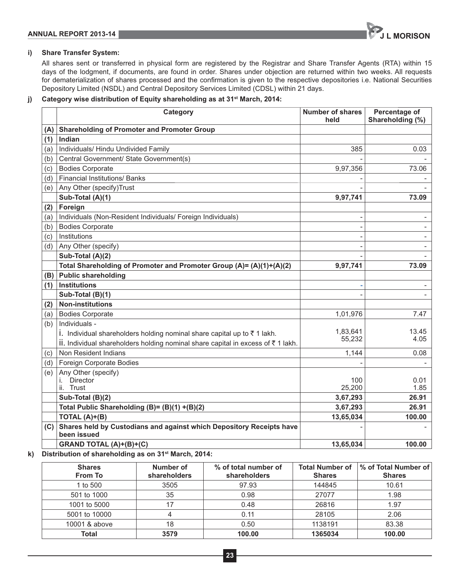

# **i) Share Transfer System:**

All shares sent or transferred in physical form are registered by the Registrar and Share Transfer Agents (RTA) within 15 days of the lodgment, if documents, are found in order. Shares under objection are returned within two weeks. All requests for dematerialization of shares processed and the confirmation is given to the respective depositories i.e. National Securities Depository Limited (NSDL) and Central Depository Services Limited (CDSL) within 21 days.

# **j) Category wise distribution of Equity shareholding as at 31st March, 2014:**

|     | Category                                                                                 | <b>Number of shares</b><br>held | Percentage of<br>Shareholding (%) |
|-----|------------------------------------------------------------------------------------------|---------------------------------|-----------------------------------|
| (A) | <b>Shareholding of Promoter and Promoter Group</b>                                       |                                 |                                   |
| (1) | Indian                                                                                   |                                 |                                   |
| (a) | Individuals/ Hindu Undivided Family                                                      | 385                             | 0.03                              |
| (b) | Central Government/ State Government(s)                                                  |                                 |                                   |
| (c) | <b>Bodies Corporate</b>                                                                  | 9,97,356                        | 73.06                             |
| (d) | <b>Financial Institutions/ Banks</b>                                                     |                                 |                                   |
| (e) | Any Other (specify)Trust                                                                 |                                 |                                   |
|     | Sub-Total (A)(1)                                                                         | 9,97,741                        | 73.09                             |
| (2) | Foreign                                                                                  |                                 |                                   |
| (a) | Individuals (Non-Resident Individuals/ Foreign Individuals)                              |                                 |                                   |
| (b) | <b>Bodies Corporate</b>                                                                  |                                 | $\overline{\phantom{a}}$          |
| (c) | Institutions                                                                             |                                 | $\overline{\phantom{a}}$          |
| (d) | Any Other (specify)                                                                      |                                 | $\overline{\phantom{a}}$          |
|     | Sub-Total (A)(2)                                                                         |                                 |                                   |
|     | Total Shareholding of Promoter and Promoter Group (A)= (A)(1)+(A)(2)                     | 9,97,741                        | 73.09                             |
| (B) | <b>Public shareholding</b>                                                               |                                 |                                   |
| (1) | Institutions                                                                             |                                 |                                   |
|     | Sub-Total (B)(1)                                                                         |                                 |                                   |
| (2) | <b>Non-institutions</b>                                                                  |                                 |                                   |
| (a) | <b>Bodies Corporate</b>                                                                  | 1,01,976                        | 7.47                              |
| (b) | Individuals -                                                                            |                                 |                                   |
|     | i. Individual shareholders holding nominal share capital up to $\bar{z}$ 1 lakh.         | 1,83,641                        | 13.45                             |
|     | ii. Individual shareholders holding nominal share capital in excess of $\bar{z}$ 1 lakh. | 55,232                          | 4.05                              |
| (c) | Non Resident Indians                                                                     | 1,144                           | 0.08                              |
| (d) | Foreign Corporate Bodies                                                                 |                                 |                                   |
| (e) | Any Other (specify)                                                                      |                                 |                                   |
|     | <b>Director</b><br>i.                                                                    | 100                             | 0.01                              |
|     | Trust<br>ii.                                                                             | 25,200                          | 1.85                              |
|     | Sub-Total (B)(2)                                                                         | 3,67,293                        | 26.91<br>26.91                    |
|     | Total Public Shareholding (B)= (B)(1) +(B)(2)                                            | 3,67,293                        |                                   |
|     | TOTAL $(A)+(B)$                                                                          | 13,65,034                       | 100.00                            |
| (C) | Shares held by Custodians and against which Depository Receipts have<br>been issued      |                                 |                                   |
|     | GRAND TOTAL (A)+(B)+(C)                                                                  | 13,65,034                       | 100.00                            |

**k) Distribution of shareholding as on 31st March, 2014:**

| <b>Shares</b><br><b>From To</b> | Number of<br>shareholders | % of total number of<br>shareholders | <b>Total Number of</b><br><b>Shares</b> | % of Total Number of<br><b>Shares</b> |
|---------------------------------|---------------------------|--------------------------------------|-----------------------------------------|---------------------------------------|
| 1 to 500                        | 3505                      | 97.93                                | 144845                                  | 10.61                                 |
| 501 to 1000                     | 35                        | 0.98                                 | 27077                                   | 1.98                                  |
| 1001 to 5000                    | 17                        | 0.48                                 | 26816                                   | 1.97                                  |
| 5001 to 10000                   | 4                         | 0.11                                 | 28105                                   | 2.06                                  |
| 10001 & above                   | 18                        | 0.50                                 | 1138191                                 | 83.38                                 |
| Total                           | 3579                      | 100.00                               | 1365034                                 | 100.00                                |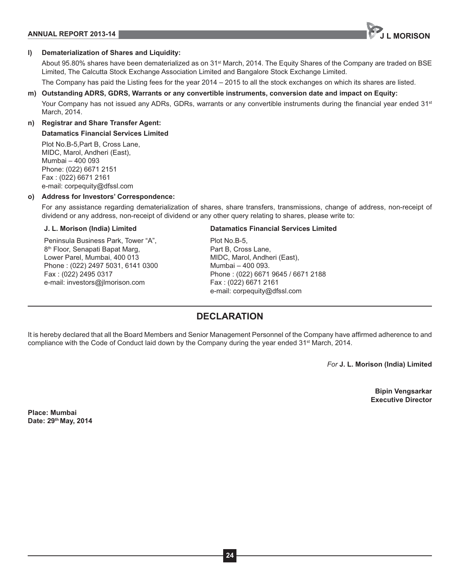# **ANNUAL REPORT 2013-14 JULIE 2013-14 JULIE 2014 12:30 ANNUAL REPORT 2013-14**



## **l) Dematerialization of Shares and Liquidity:**

About 95.80% shares have been dematerialized as on 31<sup>st</sup> March, 2014. The Equity Shares of the Company are traded on BSE Limited, The Calcutta Stock Exchange Association Limited and Bangalore Stock Exchange Limited.

The Company has paid the Listing fees for the year 2014 – 2015 to all the stock exchanges on which its shares are listed.

### **m) Outstanding ADRS, GDRS, Warrants or any convertible instruments, conversion date and impact on Equity:**

Your Company has not issued any ADRs, GDRs, warrants or any convertible instruments during the financial year ended 31<sup>st</sup> March, 2014.

# **n) Registrar and Share Transfer Agent: Datamatics Financial Services Limited**

Plot No.B-5,Part B, Cross Lane, MIDC, Marol, Andheri (East), Mumbai – 400 093 Phone: (022) 6671 2151 Fax: (022) 6671 2161 e-mail: corpequity@dfssl.com

#### **o) Address for Investors' Correspondence:**

For any assistance regarding dematerialization of shares, share transfers, transmissions, change of address, non-receipt of dividend or any address, non-receipt of dividend or any other query relating to shares, please write to:

### **J. L. Morison (India) Limited**

Peninsula Business Park, Tower "A", 8<sup>th</sup> Floor, Senapati Bapat Marg, Lower Parel, Mumbai, 400 013 Phone : (022) 2497 5031, 6141 0300 Fax: (022) 2495 0317 e-mail: investors@jlmorison.com

#### **Datamatics Financial Services Limited**

Plot No.B-5, Part B, Cross Lane, MIDC, Marol, Andheri (East), Mumbai – 400 093. Phone : (022) 6671 9645 / 6671 2188 Fax: (022) 6671 2161 e-mail: corpequity@dfssl.com

# **DECLARATION**

It is hereby declared that all the Board Members and Senior Management Personnel of the Company have affirmed adherence to and compliance with the Code of Conduct laid down by the Company during the year ended  $31<sup>st</sup>$  March, 2014.

*For* **J. L. Morison (India) Limited**

**Bipin Vengsarkar Executive Director**

**Place: Mumbai Date: 29th May, 2014**